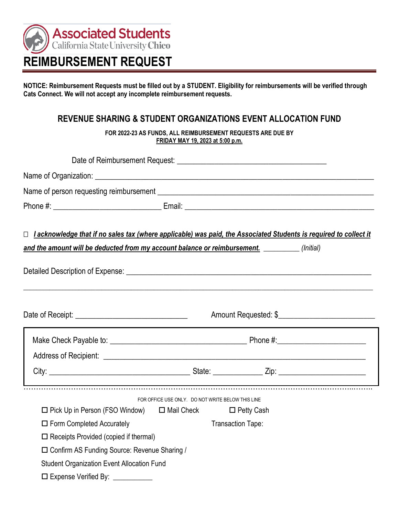

**NOTICE: Reimbursement Requests must be filled out by a STUDENT. Eligibility for reimbursements will be verified through Cats Connect. We will not accept any incomplete reimbursement requests.** 

### **REVENUE SHARING & STUDENT ORGANIZATIONS EVENT ALLOCATION FUND**

 **FOR 2022-23 AS FUNDS, ALL REIMBURSEMENT REQUESTS ARE DUE BY FRIDAY MAY 19, 2023 at 5:00 p.m.** 

| Name of person requesting reimbursement example and a series of person requestion of person requesting reimbursement |                                                   |                   |                      |
|----------------------------------------------------------------------------------------------------------------------|---------------------------------------------------|-------------------|----------------------|
|                                                                                                                      |                                                   |                   |                      |
| □ Lacknowledge that if no sales tax (where applicable) was paid, the Associated Students is required to collect it   |                                                   |                   |                      |
| and the amount will be deducted from my account balance or reimbursement. __________(Initial)                        |                                                   |                   |                      |
|                                                                                                                      |                                                   |                   |                      |
|                                                                                                                      |                                                   |                   | Amount Requested: \$ |
|                                                                                                                      |                                                   |                   |                      |
|                                                                                                                      |                                                   |                   |                      |
|                                                                                                                      |                                                   |                   |                      |
|                                                                                                                      | FOR OFFICE USE ONLY. DO NOT WRITE BELOW THIS LINE |                   |                      |
| $\Box$ Pick Up in Person (FSO Window) $\Box$ Mail Check                                                              |                                                   | $\Box$ Petty Cash |                      |
| $\Box$ Form Completed Accurately                                                                                     |                                                   | Transaction Tape: |                      |
| $\Box$ Receipts Provided (copied if thermal)                                                                         |                                                   |                   |                      |
| □ Confirm AS Funding Source: Revenue Sharing /                                                                       |                                                   |                   |                      |
| <b>Student Organization Event Allocation Fund</b>                                                                    |                                                   |                   |                      |
| □ Expense Verified By: _________                                                                                     |                                                   |                   |                      |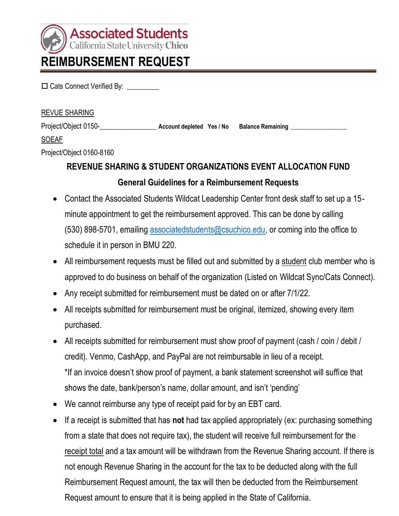

#### **REVUE SHARING**

 Cats Connect Verified By: \_\_\_\_\_\_\_\_\_ REVUE SHARING Project/Object 0150-\_\_\_\_\_\_\_\_\_\_\_\_\_\_\_\_ **Account depleted Yes / No Balance Remaining \_\_\_\_\_\_\_\_\_\_\_\_\_\_\_\_\_\_\_** 

### **SOEAF**

Project/Object 0160-8160

## **REVENUE SHARING & STUDENT ORGANIZATIONS EVENT ALLOCATION FUND General Guidelines for a Reimbursement Requests**

- • Contact the Associated Students Wildcat Leadership Center front desk staff to set up a 15- minute appointment to get the reimbursement approved. This can be done by calling (530) 898-5701, emailing [associatedstudents@csuchico.edu,](mailto:associatedstudents@csuchico.edu) or coming into the office to schedule it in person in BMU 220.
- All reimbursement requests must be filled out and submitted by a student club member who is approved to do business on behalf of the organization (Listed on Wildcat Sync/Cats Connect).
- Any receipt submitted for reimbursement must be dated on or after 7/1/22.
- • All receipts submitted for reimbursement must be original, itemized, showing every item purchased.
- All receipts submitted for reimbursement must show proof of payment (cash / coin / debit / credit). Venmo, CashApp, and PayPal are not reimbursable in lieu of a receipt. \*If an invoice doesn't show proof of payment, a bank statement screenshot will suffice that shows the date, bank/person's name, dollar amount, and isn't 'pending'
- We cannot reimburse any type of receipt paid for by an EBT card.
- • If a receipt is submitted that has **not** had tax applied appropriately (ex: purchasing something from a state that does not require tax), the student will receive full reimbursement for the receipt total and a tax amount will be withdrawn from the Revenue Sharing account. If there is not enough Revenue Sharing in the account for the tax to be deducted along with the full Reimbursement Request amount, the tax will then be deducted from the Reimbursement Request amount to ensure that it is being applied in the State of California.